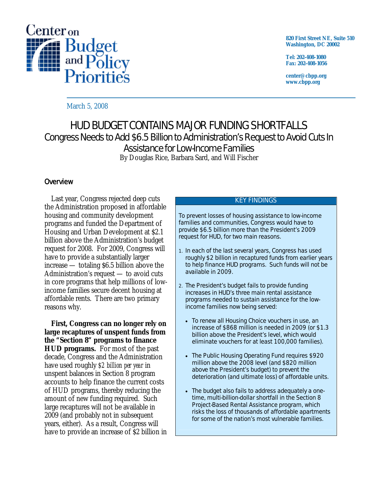

**820 First Street NE, Suite 510 Washington, DC 20002** 

**Tel: 202-408-1080 Fax: 202-408-1056** 

**center@cbpp.org www.cbpp.org** 

March 5, 2008

# HUD BUDGET CONTAINS MAJOR FUNDING SHORTFALLS Congress Needs to Add \$6.5 Billion to Administration's Request to Avoid Cuts In Assistance for Low-Income Families

By Douglas Rice, Barbara Sard, and Will Fischer

# **Overview**

 Last year, Congress rejected deep cuts the Administration proposed in affordable housing and community development programs and funded the Department of Housing and Urban Development at \$2.1 billion above the Administration's budget request for 2008. For 2009, Congress will have to provide a substantially larger increase — totaling \$6.5 billion above the Administration's request — to avoid cuts in core programs that help millions of lowincome families secure decent housing at affordable rents. There are two primary reasons why.

**First, Congress can no longer rely on large recaptures of unspent funds from the "Section 8" programs to finance HUD programs.** For most of the past decade, Congress and the Administration have used roughly *\$2 billion per year* in unspent balances in Section 8 program accounts to help finance the current costs of HUD programs, thereby reducing the amount of new funding required. Such large recaptures will not be available in 2009 (and probably not in subsequent years, either). As a result, Congress will have to provide an increase of \$2 billion in

#### KEY FINDINGS

To prevent losses of housing assistance to low-income families and communities, Congress would have to provide \$6.5 billion more than the President's 2009 request for HUD, for two main reasons.

- 1. In each of the last several years, Congress has used roughly \$2 billion in recaptured funds from earlier years to help finance HUD programs. Such funds will not be available in 2009.
- 2. The President's budget fails to provide funding increases in HUD's three main rental assistance programs needed to sustain assistance for the lowincome families now being served:
	- To renew all Housing Choice vouchers in use, an increase of \$868 million is needed in 2009 (or \$1.3 billion above the President's level, which would eliminate vouchers for at least 100,000 families).
	- The Public Housing Operating Fund requires \$920 million above the 2008 level (and \$820 million above the President's budget) to prevent the deterioration (and ultimate loss) of affordable units.
	- The budget also fails to address adequately a onetime, multi-billion-dollar shortfall in the Section 8 Project-Based Rental Assistance program, which risks the loss of thousands of affordable apartments for some of the nation's most vulnerable families.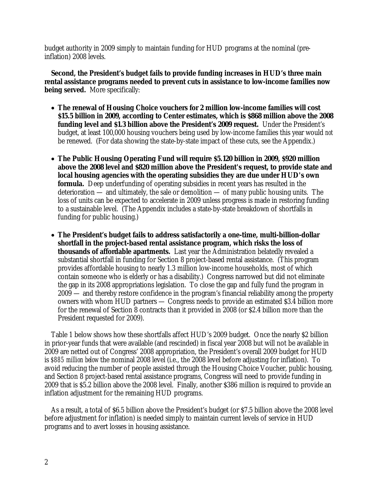budget authority in 2009 simply to maintain funding for HUD programs at the nominal (preinflation) 2008 levels.

 **Second, the President's budget fails to provide funding increases in HUD's three main rental assistance programs needed to prevent cuts in assistance to low-income families now being served.** More specifically:

- **The renewal of Housing Choice vouchers for 2 million low-income families will cost \$15.5 billion in 2009, according to Center estimates, which is \$868 million above the 2008 funding level and \$1.3 billion above the President's 2009 request.** Under the President's budget, at least 100,000 housing vouchers being used by low-income families this year would *not* be renewed. (For data showing the state-by-state impact of these cuts, see the Appendix.)
- **The Public Housing Operating Fund will require \$5.120 billion in 2009, \$920 million above the 2008 level and \$820 million above the President's request, to provide state and local housing agencies with the operating subsidies they are due under HUD's own formula.** Deep underfunding of operating subsidies in recent years has resulted in the deterioration — and ultimately, the sale or demolition — of many public housing units. The loss of units can be expected to accelerate in 2009 unless progress is made in restoring funding to a sustainable level. (The Appendix includes a state-by-state breakdown of shortfalls in funding for public housing.)
- **The President's budget fails to address satisfactorily a one-time, multi-billion-dollar shortfall in the project-based rental assistance program, which risks the loss of thousands of affordable apartments.** Last year the Administration belatedly revealed a substantial shortfall in funding for Section 8 project-based rental assistance. (This program provides affordable housing to nearly 1.3 million low-income households, most of which contain someone who is elderly or has a disability.) Congress narrowed but did not eliminate the gap in its 2008 appropriations legislation. To close the gap and fully fund the program in 2009 — and thereby restore confidence in the program's financial reliability among the property owners with whom HUD partners — Congress needs to provide an estimated \$3.4 billion more for the renewal of Section 8 contracts than it provided in 2008 (or \$2.4 billion more than the President requested for 2009).

 Table 1 below shows how these shortfalls affect HUD's 2009 budget. Once the nearly \$2 billion in prior-year funds that were available (and rescinded) in fiscal year 2008 but will not be available in 2009 are netted out of Congress' 2008 appropriation, the President's overall 2009 budget for HUD is *\$885 million below* the nominal 2008 level (i.e., the 2008 level before adjusting for inflation). To avoid reducing the number of people assisted through the Housing Choice Voucher, public housing, and Section 8 project-based rental assistance programs, Congress will need to provide funding in 2009 that is \$5.2 billion above the 2008 level. Finally, another \$386 million is required to provide an inflation adjustment for the remaining HUD programs.

 As a result, a total of \$6.5 billion above the President's budget (or \$7.5 billion above the 2008 level before adjustment for inflation) is needed simply to maintain current levels of service in HUD programs and to avert losses in housing assistance.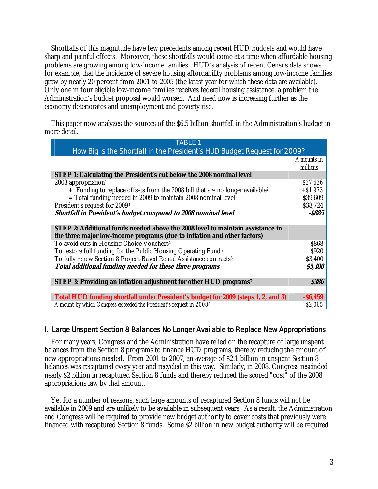Shortfalls of this magnitude have few precedents among recent HUD budgets and would have sharp and painful effects. Moreover, these shortfalls would come at a time when affordable housing problems are growing among low-income families. HUD's analysis of recent Census data shows, for example, that the incidence of severe housing affordability problems among low-income families grew by nearly 20 percent from 2001 to 2005 (the latest year for which these data are available). Only one in four eligible low-income families receives federal housing assistance, a problem the Administration's budget proposal would worsen. And need now is increasing further as the economy deteriorates and unemployment and poverty rise.

 This paper now analyzes the sources of the \$6.5 billion shortfall in the Administration's budget in more detail.

| TABLE 1                                                                                     |              |
|---------------------------------------------------------------------------------------------|--------------|
| How Big is the Shortfall in the President's HUD Budget Request for 2009?                    |              |
|                                                                                             | Amounts in   |
|                                                                                             | millions     |
| STEP 1: Calculating the President's cut below the 2008 nominal level                        |              |
| $2008$ appropriation <sup>1</sup>                                                           | \$37.636     |
| $+$ Funding to replace offsets from the 2008 bill that are no longer available <sup>2</sup> | $+ $1,973$   |
| = Total funding needed in 2009 to maintain 2008 nominal level                               | \$39,609     |
| President's request for 2009 <sup>3</sup>                                                   | \$38,724     |
| Shortfall in President's budget compared to 2008 nominal level                              | -S885        |
|                                                                                             |              |
| STEP 2: Additional funds needed above the 2008 level to maintain assistance in              |              |
| the three major low-income programs (due to inflation and other factors)                    |              |
| To avoid cuts in Housing Choice Vouchers <sup>4</sup>                                       | \$868        |
| To restore full funding for the Public Housing Operating Fund <sup>5</sup>                  | \$920        |
| To fully renew Section 8 Project-Based Rental Assistance contracts <sup>6</sup>             | \$3,400      |
| Total additional funding needed for these three programs                                    | \$5,188      |
|                                                                                             |              |
| STEP 3: Providing an inflation adjustment for other HUD programs <sup>7</sup>               | <b>\$386</b> |
|                                                                                             |              |
| Total HUD funding shortfall under President's budget for 2009 (steps 1, 2, and 3)           | $-$ \$6,459  |
| Amount by which Congress exceeded the President's request in 2008 <sup>8</sup>              | \$2,065      |

## I. Large Unspent Section 8 Balances No Longer Available to Replace New Appropriations

 For many years, Congress and the Administration have relied on the recapture of large unspent balances from the Section 8 programs to finance HUD programs, thereby reducing the amount of new appropriations needed. From 2001 to 2007, an average of \$2.1 billion in unspent Section 8 balances was recaptured every year and recycled in this way. Similarly, in 2008, Congress rescinded nearly \$2 billion in recaptured Section 8 funds and thereby reduced the scored "cost" of the 2008 appropriations law by that amount.

 Yet for a number of reasons, such large amounts of recaptured Section 8 funds will not be available in 2009 and are unlikely to be available in subsequent years. As a result, the Administration and Congress will be required to provide new budget authority to cover costs that previously were financed with recaptured Section 8 funds. Some \$2 billion in new budget authority will be required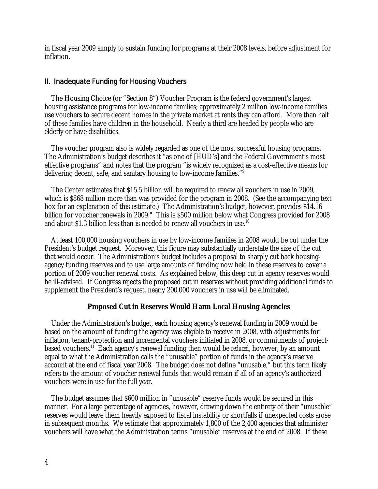in fiscal year 2009 simply to sustain funding for programs at their 2008 levels, before adjustment for inflation.

### II. Inadequate Funding for Housing Vouchers

 The Housing Choice (or "Section 8") Voucher Program is the federal government's largest housing assistance programs for low-income families; approximately 2 million low-income families use vouchers to secure decent homes in the private market at rents they can afford. More than half of these families have children in the household. Nearly a third are headed by people who are elderly or have disabilities.

 The voucher program also is widely regarded as one of the most successful housing programs. The Administration's budget describes it "as one of [HUD's] and the Federal Government's most effective programs" and notes that the program "is widely recognized as a cost-effective means for delivering decent, safe, and sanitary housing to low-income families."9

 The Center estimates that \$15.5 billion will be required to renew all vouchers in use in 2009, which is \$868 million more than was provided for the program in 2008. (See the accompanying text box for an explanation of this estimate.) The Administration's budget, however, provides \$14.16 billion for voucher renewals in 2009." This is \$500 million below what Congress provided for 2008 and about \$1.3 billion less than is needed to renew all vouchers in use.<sup>10</sup>

 At least 100,000 housing vouchers in use by low-income families in 2008 would be cut under the President's budget request. Moreover, this figure may substantially understate the size of the cut that would occur. The Administration's budget includes a proposal to sharply cut back housingagency funding reserves and to use large amounts of funding now held in these reserves to cover a portion of 2009 voucher renewal costs. As explained below, this deep cut in agency reserves would be ill-advised. If Congress rejects the proposed cut in reserves without providing additional funds to supplement the President's request, nearly 200,000 vouchers in use will be eliminated.

#### **Proposed Cut in Reserves Would Harm Local Housing Agencies**

 Under the Administration's budget, each housing agency's renewal funding in 2009 would be based on the amount of funding the agency was eligible to receive in 2008, with adjustments for inflation, tenant-protection and incremental vouchers initiated in 2008, or commitments of projectbased vouchers.11 Each agency's renewal funding then would be *reduced*, however, by an amount equal to what the Administration calls the "unusable" portion of funds in the agency's reserve account at the end of fiscal year 2008. The budget does not define "unusable," but this term likely refers to the amount of voucher renewal funds that would remain if all of an agency's authorized vouchers were in use for the full year.

 The budget assumes that \$600 million in "unusable" reserve funds would be secured in this manner. For a large percentage of agencies, however, drawing down the entirety of their "unusable" reserves would leave them heavily exposed to fiscal instability or shortfalls if unexpected costs arose in subsequent months. We estimate that approximately 1,800 of the 2,400 agencies that administer vouchers will have what the Administration terms "unusable" reserves at the end of 2008. If these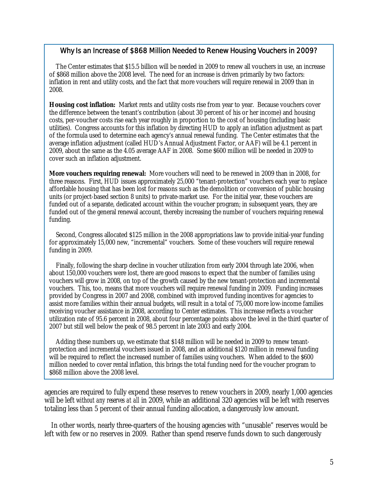#### Why Is an Increase of \$868 Million Needed to Renew Housing Vouchers in 2009?

The Center estimates that \$15.5 billion will be needed in 2009 to renew all vouchers in use, an increase of \$868 million above the 2008 level. The need for an increase is driven primarily by two factors: inflation in rent and utility costs, and the fact that more vouchers will require renewal in 2009 than in 2008.

Housing cost inflation: Market rents and utility costs rise from year to year. Because vouchers cover the difference between the tenant's contribution (about 30 percent of his or her income) and housing costs, per-voucher costs rise each year roughly in proportion to the cost of housing (including basic utilities). Congress accounts for this inflation by directing HUD to apply an inflation adjustment as part of the formula used to determine each agency's annual renewal funding. The Center estimates that the average inflation adjustment (called HUD's Annual Adjustment Factor, or AAF) will be 4.1 percent in 2009, about the same as the 4.05 average AAF in 2008. Some \$600 million will be needed in 2009 to cover such an inflation adjustment.

**More vouchers requiring renewal:** More vouchers will need to be renewed in 2009 than in 2008, for three reasons. First, HUD issues approximately 25,000 "tenant-protection" vouchers each year to replace affordable housing that has been lost for reasons such as the demolition or conversion of public housing units (or project-based section 8 units) to private-market use. For the initial year, these vouchers are funded out of a separate, dedicated account within the voucher program; in subsequent years, they are funded out of the general renewal account, thereby increasing the number of vouchers requiring renewal funding.

 Second, Congress allocated \$125 million in the 2008 appropriations law to provide initial-year funding for approximately 15,000 new, "incremental" vouchers. Some of these vouchers will require renewal funding in 2009.

 Finally, following the sharp decline in voucher utilization from early 2004 through late 2006, when about 150,000 vouchers were lost, there are good reasons to expect that the number of families using vouchers will grow in 2008, on top of the growth caused by the new tenant-protection and incremental vouchers. This, too, means that more vouchers will require renewal funding in 2009. Funding increases provided by Congress in 2007 and 2008, combined with improved funding incentives for agencies to assist more families within their annual budgets, will result in a total of 75,000 more low-income families receiving voucher assistance in 2008, according to Center estimates. This increase reflects a voucher utilization rate of 95.6 percent in 2008, about four percentage points above the level in the third quarter of 2007 but still well below the peak of 98.5 percent in late 2003 and early 2004.

 Adding these numbers up, we estimate that \$148 million will be needed in 2009 to renew tenantprotection and incremental vouchers issued in 2008, and an additional \$120 million in renewal funding will be required to reflect the increased number of families using vouchers. When added to the \$600 million needed to cover rental inflation, this brings the total funding need for the voucher program to \$868 million above the 2008 level.

agencies are required to fully expend these reserves to renew vouchers in 2009, nearly 1,000 agencies will be left *without any reserves at all* in 2009, while an additional 320 agencies will be left with reserves totaling less than 5 percent of their annual funding allocation, a dangerously low amount.

 In other words, nearly three-quarters of the housing agencies with "unusable" reserves would be left with few or no reserves in 2009. Rather than spend reserve funds down to such dangerously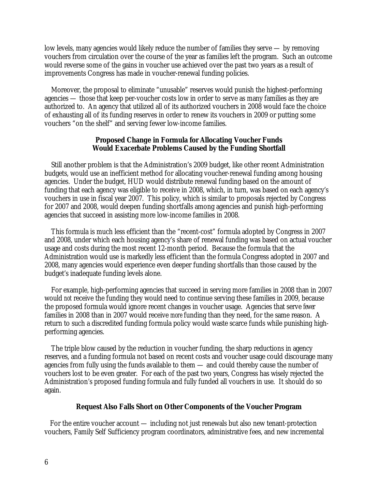low levels, many agencies would likely reduce the number of families they serve — by removing vouchers from circulation over the course of the year as families left the program. Such an outcome would reverse some of the gains in voucher use achieved over the past two years as a result of improvements Congress has made in voucher-renewal funding policies.

 Moreover, the proposal to eliminate "unusable" reserves would punish the highest-performing agencies — those that keep per-voucher costs low in order to serve as many families as they are authorized to. An agency that utilized all of its authorized vouchers in 2008 would face the choice of exhausting all of its funding reserves in order to renew its vouchers in 2009 or putting some vouchers "on the shelf" and serving fewer low-income families.

#### **Proposed Change in Formula for Allocating Voucher Funds Would Exacerbate Problems Caused by the Funding Shortfall**

 Still another problem is that the Administration's 2009 budget, like other recent Administration budgets, would use an inefficient method for allocating voucher-renewal funding among housing agencies. Under the budget, HUD would distribute renewal funding based on the amount of funding that each agency was eligible to receive in 2008, which, in turn, was based on each agency's vouchers in use in fiscal year 2007. This policy, which is similar to proposals rejected by Congress for 2007 and 2008, would deepen funding shortfalls among agencies and punish high-performing agencies that succeed in assisting more low-income families in 2008.

 This formula is much less efficient than the "recent-cost" formula adopted by Congress in 2007 and 2008, under which each housing agency's share of renewal funding was based on actual voucher usage and costs during the most recent 12-month period. Because the formula that the Administration would use is markedly less efficient than the formula Congress adopted in 2007 and 2008, many agencies would experience even deeper funding shortfalls than those caused by the budget's inadequate funding levels alone.

 For example, high-performing agencies that succeed in serving more families in 2008 than in 2007 would *not* receive the funding they would need to continue serving these families in 2009, because the proposed formula would ignore recent changes in voucher usage. Agencies that serve *fewer*  families in 2008 than in 2007 would receive *more* funding than they need, for the same reason.A return to such a discredited funding formula policy would waste scarce funds while punishing highperforming agencies.

 The triple blow caused by the reduction in voucher funding, the sharp reductions in agency reserves, and a funding formula not based on recent costs and voucher usage could discourage many agencies from fully using the funds available to them — and could thereby cause the number of vouchers lost to be even greater. For each of the past two years, Congress has wisely rejected the Administration's proposed funding formula and fully funded all vouchers in use. It should do so again.

#### **Request Also Falls Short on Other Components of the Voucher Program**

 For the entire voucher account — including not just renewals but also new tenant-protection vouchers, Family Self Sufficiency program coordinators, administrative fees, and new incremental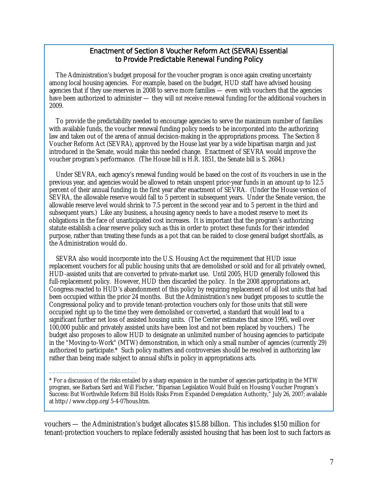### Enactment of Section 8 Voucher Reform Act (SEVRA) Essential to Provide Predictable Renewal Funding Policy

 The Administration's budget proposal for the voucher program is once again creating uncertainty among local housing agencies. For example, based on the budget, HUD staff have advised housing agencies that if they use reserves in 2008 to serve more families — even with vouchers that the agencies have been authorized to administer — they will *not* receive renewal funding for the additional vouchers in 2009.

 To provide the predictability needed to encourage agencies to serve the maximum number of families with available funds, the voucher renewal funding policy needs to be incorporated into the authorizing law and taken out of the arena of annual decision-making in the appropriations process. The Section 8 Voucher Reform Act (SEVRA), approved by the House last year by a wide bipartisan margin and just introduced in the Senate, would make this needed change. Enactment of SEVRA would improve the voucher program's performance. (The House bill is H.R. 1851, the Senate bill is S. 2684.)

 Under SEVRA, each agency's renewal funding would be based on the cost of its vouchers in use in the previous year, and agencies would be allowed to retain unspent prior-year funds in an amount up to 12.5 percent of their annual funding in the first year after enactment of SEVRA. (Under the House version of SEVRA, the allowable reserve would fall to 5 percent in subsequent years. Under the Senate version, the allowable reserve level would shrink to 7.5 percent in the second year and to 5 percent in the third and subsequent years.) Like any business, a housing agency needs to have a modest reserve to meet its obligations in the face of unanticipated cost increases. It is important that the program's authorizing statute establish a clear reserve policy such as this in order to protect these funds for their intended purpose, rather than treating these funds as a pot that can be raided to close general budget shortfalls, as the Administration would do.

SEVRA also would incorporate into the U.S. Housing Act the requirement that HUD issue replacement vouchers for all public housing units that are demolished or sold and for all privately owned, HUD-assisted units that are converted to private-market use. Until 2005, HUD generally followed this full-replacement policy. However, HUD then discarded the policy. In the 2008 appropriations act, Congress reacted to HUD's abandonment of this policy by requiring replacement of all lost units that had been occupied within the prior 24 months. But the Administration's new budget proposes to scuttle the Congressional policy and to provide tenant-protection vouchers only for those units that still were occupied right up to the time they were demolished or converted, a standard that would lead to a significant further net loss of assisted housing units. (The Center estimates that since 1995, well over 100,000 public and privately assisted units have been lost and not been replaced by vouchers.) The budget also proposes to allow HUD to designate an unlimited number of housing agencies to participate in the "Moving-to-Work" (MTW) demonstration, in which only a small number of agencies (currently 29) authorized to participate.\* Such policy matters and controversies should be resolved in authorizing law rather than being made subject to annual shifts in policy in appropriations acts.

\_\_\_\_\_\_\_\_\_\_\_\_\_\_\_\_\_\_\_\_\_\_\_\_\_\_

vouchers — the Administration's budget allocates \$15.88 billion. This includes \$150 million for tenant-protection vouchers to replace federally assisted housing that has been lost to such factors as

<sup>\*</sup> For a discussion of the risks entailed by a sharp expansion in the number of agencies participating in the MTW program, see Barbara Sard and Will Fischer, "Biparisan Legislation Would Build on Housing Voucher Program's Success: But Worthwhile Reform Bill Holds Risks From Expanded Deregulation Authority," July 26, 2007; available at http://www.cbpp.org/5-4-07hous.htm.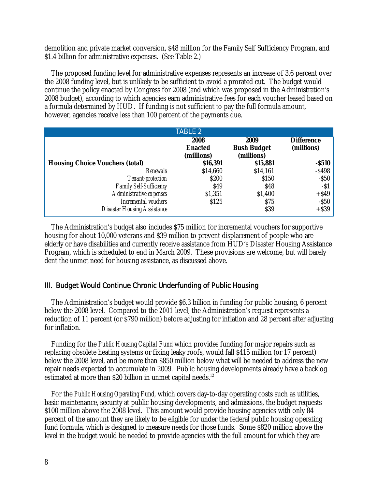demolition and private market conversion, \$48 million for the Family Self Sufficiency Program, and \$1.4 billion for administrative expenses. (See Table 2.)

 The proposed funding level for administrative expenses represents an increase of 3.6 percent over the 2008 funding level, but is unlikely to be sufficient to avoid a prorated cut. The budget would continue the policy enacted by Congress for 2008 (and which was proposed in the Administration's 2008 budget), according to which agencies earn administrative fees for each voucher leased based on a formula determined by HUD. If funding is not sufficient to pay the full formula amount, however, agencies receive less than 100 percent of the payments due.

|                                        | <b>TABLE 2</b>               |                                  |                       |
|----------------------------------------|------------------------------|----------------------------------|-----------------------|
|                                        | 2008                         | 2009                             | <b>Difference</b>     |
|                                        | <b>Enacted</b><br>(millions) | <b>Bush Budget</b><br>(millions) | (millions)            |
| <b>Housing Choice Vouchers (total)</b> | \$16,391                     | \$15,881                         | $-$ \$510             |
| Renewals                               | \$14,660                     | \$14,161                         | $-$ \$498<br>$-$ \$50 |
| Tenant-protection                      | \$200                        | \$150                            |                       |
| Family Self-Sufficiency                | \$49                         | \$48                             | $-51$                 |
| Administrative expenses                | \$1,351                      | \$1,400                          | $+$ \$49              |
| Incremental vouchers                   | \$125                        | \$75                             |                       |
| <b>Disaster Housing Assistance</b>     |                              | \$39                             | $-$ \$50<br>+\$39     |

 The Administration's budget also includes \$75 million for incremental vouchers for supportive housing for about 10,000 veterans and \$39 million to prevent displacement of people who are elderly or have disabilities and currently receive assistance from HUD's Disaster Housing Assistance Program, which is scheduled to end in March 2009. These provisions are welcome, but will barely dent the unmet need for housing assistance, as discussed above.

#### III. Budget Would Continue Chronic Underfunding of Public Housing

 The Administration's budget would provide \$6.3 billion in funding for public housing, 6 percent below the 2008 level. Compared to the *2001* level, the Administration's request represents a reduction of 11 percent (or \$790 million) before adjusting for inflation and 28 percent after adjusting for inflation.

 Funding for the *Public Housing Capital Fund* which provides funding for major repairs such as replacing obsolete heating systems or fixing leaky roofs, would fall \$415 million (or 17 percent) below the 2008 level, and be more than \$850 million below what will be needed to address the new repair needs expected to accumulate in 2009. Public housing developments already have a backlog estimated at more than \$20 billion in unmet capital needs.<sup>12</sup>

 For the *Public Housing Operating Fund*, which covers day-to-day operating costs such as utilities, basic maintenance, security at public housing developments, and admissions, the budget requests \$100 million above the 2008 level. This amount would provide housing agencies with only 84 percent of the amount they are likely to be eligible for under the federal public housing operating fund formula, which is designed to measure needs for those funds. Some \$820 million above the level in the budget would be needed to provide agencies with the full amount for which they are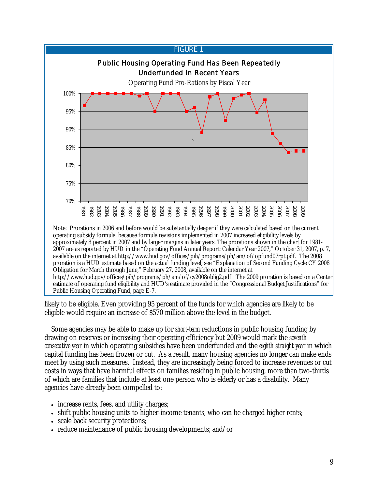

http://www.hud.gov/offices/pih/programs/ph/am/of/cy2008oblig2.pdf. The 2009 proration is based on a Center estimate of operating fund eligibility and HUD's estimate provided in the "Congressional Budget Justifications" for Public Housing Operating Fund, page E-7.

likely to be eligible. Even providing 95 percent of the funds for which agencies are likely to be eligible would require an increase of \$570 million above the level in the budget.

 Some agencies may be able to make up for *short-term* reductions in public housing funding by drawing on reserves or increasing their operating efficiency but 2009 would mark the *seventh consecutive year* in which operating subsidies have been underfunded and the *eighth straight year* in which capital funding has been frozen or cut. As a result, many housing agencies no longer can make ends meet by using such measures. Instead, they are increasingly being forced to increase revenues or cut costs in ways that have harmful effects on families residing in public housing, more than two-thirds of which are families that include at least one person who is elderly or has a disability. Many agencies have already been compelled to:

- increase rents, fees, and utility charges;
- shift public housing units to higher-income tenants, who can be charged higher rents;
- scale back security protections;
- reduce maintenance of public housing developments; and/or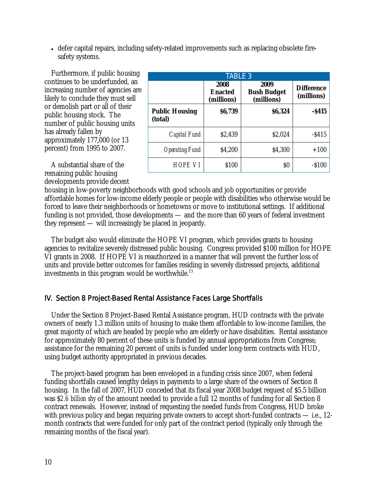• defer capital repairs, including safety-related improvements such as replacing obsolete firesafety systems.

 Furthermore, if public housing continues to be underfunded, an increasing number of agencies are likely to conclude they must sell or demolish part or all of their public housing stock. The number of public housing units has already fallen by approximately 177,000 (or 13 percent) from 1995 to 2007.

| <b>TABLE 3</b>                   |                                      |                                          |                                 |
|----------------------------------|--------------------------------------|------------------------------------------|---------------------------------|
|                                  | 2008<br><b>Enacted</b><br>(millions) | 2009<br><b>Bush Budget</b><br>(millions) | <b>Difference</b><br>(millions) |
| <b>Public Housing</b><br>(total) | \$6,739                              | \$6,324                                  | $-$ \$415                       |
| Capital Fund                     | \$2,439                              | \$2,024                                  | $-$ \$415                       |
| <b>Operating Fund</b>            | \$4,200                              | \$4,300                                  | $+100$                          |
| HOPE VI                          | \$100                                | \$O                                      | $-$ \$100                       |

 A substantial share of the remaining public housing developments provide decent

housing in low-poverty neighborhoods with good schools and job opportunities or provide affordable homes for low-income elderly people or people with disabilities who otherwise would be forced to leave their neighborhoods or hometowns or move to institutional settings. If additional funding is not provided, those developments — and the more than 60 years of federal investment they represent — will increasingly be placed in jeopardy.

 The budget also would eliminate the HOPE VI program, which provides grants to housing agencies to revitalize severely distressed public housing. Congress provided \$100 million for HOPE VI grants in 2008. If HOPE VI is reauthorized in a manner that will prevent the further loss of units and provide better outcomes for families residing in severely distressed projects, additional investments in this program would be worthwhile.<sup>13</sup>

# IV. Section 8 Project-Based Rental Assistance Faces Large Shortfalls

 Under the Section 8 Project-Based Rental Assistance program, HUD contracts with the private owners of nearly 1.3 million units of housing to make them affordable to low-income families, the great majority of which are headed by people who are elderly or have disabilities. Rental assistance for approximately 80 percent of these units is funded by annual appropriations from Congress; assistance for the remaining 20 percent of units is funded under long-term contracts with HUD, using budget authority appropriated in previous decades.

 The project-based program has been enveloped in a funding crisis since 2007, when federal funding shortfalls caused lengthy delays in payments to a large share of the owners of Section 8 housing. In the fall of 2007, HUD conceded that its fiscal year 2008 budget request of \$5.5 billion was \$*2.6 billion shy* of the amount needed to provide a full 12 months of funding for all Section 8 contract renewals. However, instead of requesting the needed funds from Congress, HUD broke with previous policy and began requiring private owners to accept short-funded contracts — i.e., 12month contracts that were funded for only part of the contract period (typically only through the remaining months of the fiscal year).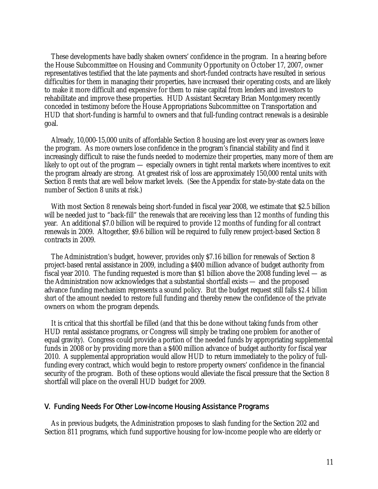These developments have badly shaken owners' confidence in the program. In a hearing before the House Subcommittee on Housing and Community Opportunity on October 17, 2007, owner representatives testified that the late payments and short-funded contracts have resulted in serious difficulties for them in managing their properties, have increased their operating costs, and are likely to make it more difficult and expensive for them to raise capital from lenders and investors to rehabilitate and improve these properties. HUD Assistant Secretary Brian Montgomery recently conceded in testimony before the House Appropriations Subcommittee on Transportation and HUD that short-funding is harmful to owners and that full-funding contract renewals is a desirable goal.

 Already, 10,000-15,000 units of affordable Section 8 housing are lost every year as owners leave the program. As more owners lose confidence in the program's financial stability and find it increasingly difficult to raise the funds needed to modernize their properties, many more of them are likely to opt out of the program — especially owners in tight rental markets where incentives to exit the program already are strong. At greatest risk of loss are approximately 150,000 rental units with Section 8 rents that are well below market levels. (See the Appendix for state-by-state data on the number of Section 8 units at risk.)

 With most Section 8 renewals being short-funded in fiscal year 2008, we estimate that \$2.5 billion will be needed just to "back-fill" the renewals that are receiving less than 12 months of funding this year. An additional \$7.0 billion will be required to provide 12 months of funding for all contract renewals in 2009. Altogether, \$9.6 billion will be required to fully renew project-based Section 8 contracts in 2009.

 The Administration's budget, however, provides only \$7.16 billion for renewals of Section 8 project-based rental assistance in 2009, including a \$400 million advance of budget authority from fiscal year 2010. The funding requested is more than \$1 billion above the 2008 funding level — as the Administration now acknowledges that a substantial shortfall exists — and the proposed advance funding mechanism represents a sound policy. But the budget request still falls *\$2.4 billion short* of the amount needed to restore full funding and thereby renew the confidence of the private owners on whom the program depends.

 It is critical that this shortfall be filled (and that this be done without taking funds from other HUD rental assistance programs, or Congress will simply be trading one problem for another of equal gravity). Congress could provide a portion of the needed funds by appropriating supplemental funds in 2008 or by providing more than a \$400 million advance of budget authority for fiscal year 2010. A supplemental appropriation would allow HUD to return immediately to the policy of fullfunding every contract, which would begin to restore property owners' confidence in the financial security of the program. Both of these options would alleviate the fiscal pressure that the Section 8 shortfall will place on the overall HUD budget for 2009.

#### V. Funding Needs For Other Low-Income Housing Assistance Programs

 As in previous budgets, the Administration proposes to slash funding for the Section 202 and Section 811 programs, which fund supportive housing for low-income people who are elderly or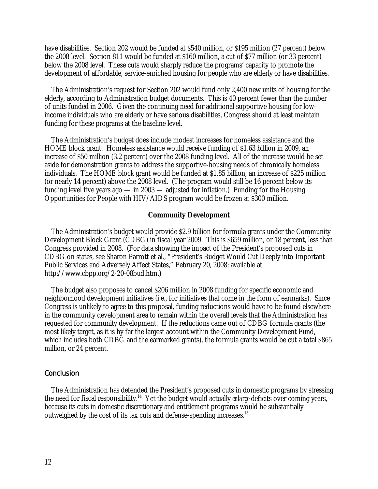have disabilities. Section 202 would be funded at \$540 million, or \$195 million (27 percent) below the 2008 level. Section 811 would be funded at \$160 million, a cut of \$77 million (or 33 percent) below the 2008 level. These cuts would sharply reduce the programs' capacity to promote the development of affordable, service-enriched housing for people who are elderly or have disabilities.

 The Administration's request for Section 202 would fund only 2,400 new units of housing for the elderly, according to Administration budget documents. This is 40 percent fewer than the number of units funded in 2006. Given the continuing need for additional supportive housing for lowincome individuals who are elderly or have serious disabilities, Congress should at least maintain funding for these programs at the baseline level.

 The Administration's budget does include modest increases for homeless assistance and the HOME block grant. Homeless assistance would receive funding of \$1.63 billion in 2009, an increase of \$50 million (3.2 percent) over the 2008 funding level. All of the increase would be set aside for demonstration grants to address the supportive-housing needs of chronically homeless individuals. The HOME block grant would be funded at \$1.85 billion, an increase of \$225 million (or nearly 14 percent) above the 2008 level. (The program would still be 16 percent below its funding level five years ago — in 2003 — adjusted for inflation.) Funding for the Housing Opportunities for People with HIV/AIDS program would be frozen at \$300 million.

#### **Community Development**

 The Administration's budget would provide \$2.9 billion for formula grants under the Community Development Block Grant (CDBG) in fiscal year 2009. This is \$659 million, or 18 percent, less than Congress provided in 2008. (For data showing the impact of the President's proposed cuts in CDBG on states, see Sharon Parrott et al., "President's Budget Would Cut Deeply into Important Public Services and Adversely Affect States," February 20, 2008; available at http://www.cbpp.org/2-20-08bud.htm.)

 The budget also proposes to cancel \$206 million in 2008 funding for specific economic and neighborhood development initiatives (i.e., for initiatives that come in the form of earmarks). Since Congress is unlikely to agree to this proposal, funding reductions would have to be found elsewhere in the community development area to remain within the overall levels that the Administration has requested for community development. If the reductions came out of CDBG formula grants (the most likely target, as it is by far the largest account within the Community Development Fund, which includes both CDBG and the earmarked grants), the formula grants would be cut a total \$865 million, or 24 percent.

#### **Conclusion**

 The Administration has defended the President's proposed cuts in domestic programs by stressing the need for fiscal responsibility.14 Yet the budget would actually *enlarge* deficits over coming years, because its cuts in domestic discretionary and entitlement programs would be substantially outweighed by the cost of its tax cuts and defense-spending increases.15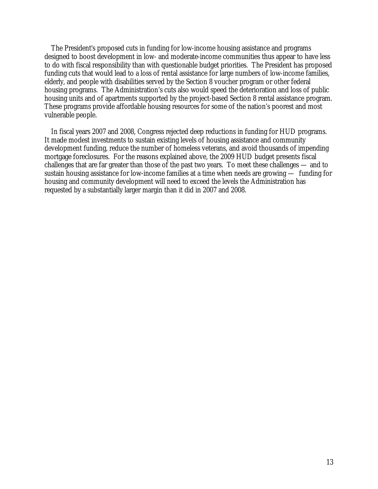The President's proposed cuts in funding for low-income housing assistance and programs designed to boost development in low- and moderate-income communities thus appear to have less to do with fiscal responsibility than with questionable budget priorities. The President has proposed funding cuts that would lead to a loss of rental assistance for large numbers of low-income families, elderly, and people with disabilities served by the Section 8 voucher program or other federal housing programs. The Administration's cuts also would speed the deterioration and loss of public housing units and of apartments supported by the project-based Section 8 rental assistance program. These programs provide affordable housing resources for some of the nation's poorest and most vulnerable people.

 In fiscal years 2007 and 2008, Congress rejected deep reductions in funding for HUD programs. It made modest investments to sustain existing levels of housing assistance and community development funding, reduce the number of homeless veterans, and avoid thousands of impending mortgage foreclosures. For the reasons explained above, the 2009 HUD budget presents fiscal challenges that are far greater than those of the past two years. To meet these challenges — and to sustain housing assistance for low-income families at a time when needs are growing — funding for housing and community development will need to exceed the levels the Administration has requested by a substantially larger margin than it did in 2007 and 2008.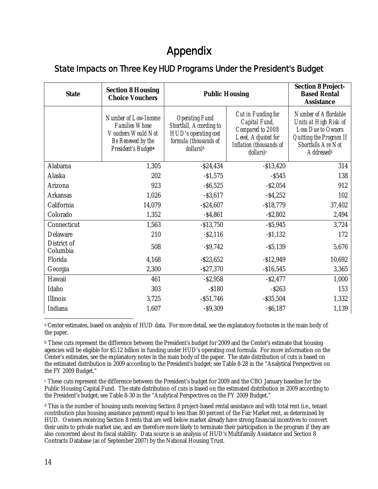# Appendix

# State Impacts on Three Key HUD Programs Under the President's Budget

| <b>State</b>            | <b>Section 8 Housing</b><br><b>Choice Vouchers</b>                                                              | <b>Public Housing</b>                                                                                                      |                                                                                                                        | <b>Section 8 Project-</b><br><b>Based Rental</b><br><b>Assistance</b>                                                                                        |
|-------------------------|-----------------------------------------------------------------------------------------------------------------|----------------------------------------------------------------------------------------------------------------------------|------------------------------------------------------------------------------------------------------------------------|--------------------------------------------------------------------------------------------------------------------------------------------------------------|
|                         | Number of Low-Income<br><b>Families Whose</b><br>Vouchers Would Not<br>Be Renewed by the<br>President's Budgeta | <b>Operating Fund</b><br>Shortfall, According to<br>HUD's operating cost<br>formula (thousands of<br>dollars) <sup>b</sup> | Cut in Funding for<br>Capital Fund,<br>Compared to 2008<br>Level, Adjusted for<br>Inflation (thousands of<br>dollars)c | Number of Affordable<br>Units at High Risk of<br><b>Loss Due to Owners</b><br>Quitting the Program If<br><b>Shortfalls Are Not</b><br>Addressed <sup>d</sup> |
| Alabama                 | 1,305                                                                                                           | $-$ \$24,434                                                                                                               | $- $13,420$                                                                                                            | 314                                                                                                                                                          |
| Alaska                  | 202                                                                                                             | $- $1,575$                                                                                                                 | $-$ S545                                                                                                               | 138                                                                                                                                                          |
| Arizona                 | 923                                                                                                             | $-$ \$6,525                                                                                                                | $-$ \$2,054                                                                                                            | 912                                                                                                                                                          |
| Arkansas                | 1,026                                                                                                           | $-$ \$3,617                                                                                                                | $-54,252$                                                                                                              | 102                                                                                                                                                          |
| California              | 14,079                                                                                                          | $-$ \$24,607                                                                                                               | $- $18,779$                                                                                                            | 37,402                                                                                                                                                       |
| Colorado                | 1,352                                                                                                           | $-$ \$4,861                                                                                                                | $-$ \$2,802                                                                                                            | 2,494                                                                                                                                                        |
| Connecticut             | 1,563                                                                                                           | $- $13,750$                                                                                                                | $-$ \$5,945                                                                                                            | 3,724                                                                                                                                                        |
| Delaware                | 210                                                                                                             | $-$ S2,116                                                                                                                 | $-$1,132$                                                                                                              | 172                                                                                                                                                          |
| District of<br>Columbia | 508                                                                                                             | $-$ \$9,742                                                                                                                | $-55,139$                                                                                                              | 5,676                                                                                                                                                        |
| Florida                 | 4,168                                                                                                           | $-$ \$23,652                                                                                                               | $- $12,949$                                                                                                            | 10,692                                                                                                                                                       |
| Georgia                 | 2,300                                                                                                           | $-$ \$27,370                                                                                                               | $- $16,545$                                                                                                            | 3,365                                                                                                                                                        |
| Hawaii                  | 461                                                                                                             | $-$ \$2,958                                                                                                                | $-$ \$2,477                                                                                                            | 1,000                                                                                                                                                        |
| Idaho                   | 303                                                                                                             | $- $180$                                                                                                                   | $-$ \$263                                                                                                              | 153                                                                                                                                                          |
| Illinois                | 3,725                                                                                                           | $- $51,746$                                                                                                                | $-$ \$35,504                                                                                                           | 1,332                                                                                                                                                        |
| Indiana                 | 1,607                                                                                                           | $-$ \$9,309                                                                                                                | $-$ \$6,187                                                                                                            | 1,139                                                                                                                                                        |

 $\overline{a}$ a Center estimates, based on analysis of HUD data. For more detail, see the explanatory footnotes in the main body of the paper.

b These cuts represent the difference between the President's budget for 2009 and the Center's estimate that housing agencies will be eligible for \$5.12 billion in funding under HUD's operating cost formula. For more information on the Center's estimates, see the explanatory notes in the main body of the paper. The state distribution of cuts is based on the estimated distribution in 2009 according to the President's budget; see Table 8-28 in the "Analytical Perspectives on the FY 2009 Budget."

c These cuts represent the difference between the President's budget for 2009 and the CBO January baseline for the Public Housing Capital Fund. The state distribution of cuts is based on the estimated distribution in 2009 according to the President's budget; see Table 8-30 in the "Analytical Perspectives on the FY 2009 Budget."

d This is the number of housing units receiving Section 8 project-based rental assistance and with total rent (i.e., tenant contribution plus housing assistance payment) equal to less than 80 percent of the Fair Market rent, as determined by HUD. Owners receiving Section 8 rents that are well below market already have strong financial incentives to convert their units to private market use, and are therefore more likely to terminate their participation in the program if they are also concerned about its fiscal stability. Data source is an analysis of HUD's Multifamily Assistance and Section 8 Contracts Database (as of September 2007) by the National Housing Trust.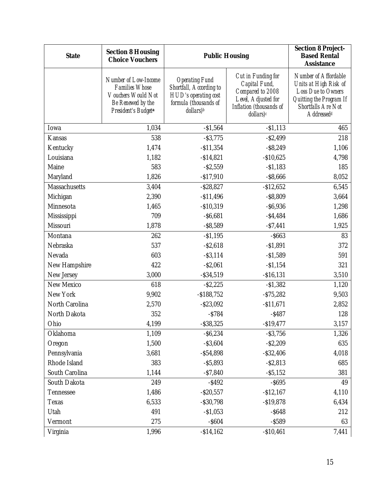| <b>State</b>   | <b>Section 8 Housing</b><br><b>Choice Vouchers</b>                                                              | <b>Public Housing</b>                                                                                                      |                                                                                                                        | <b>Section 8 Project-</b><br><b>Based Rental</b><br><b>Assistance</b>                                                                          |
|----------------|-----------------------------------------------------------------------------------------------------------------|----------------------------------------------------------------------------------------------------------------------------|------------------------------------------------------------------------------------------------------------------------|------------------------------------------------------------------------------------------------------------------------------------------------|
|                | Number of Low-Income<br><b>Families Whose</b><br>Vouchers Would Not<br>Be Renewed by the<br>President's Budgeta | <b>Operating Fund</b><br>Shortfall, According to<br>HUD's operating cost<br>formula (thousands of<br>dollars) <sup>b</sup> | Cut in Funding for<br>Capital Fund,<br>Compared to 2008<br>Level, Adjusted for<br>Inflation (thousands of<br>dollars)c | Number of Affordable<br>Units at High Risk of<br>Loss Due to Owners<br>Quitting the Program If<br>Shortfalls Are Not<br>Addressed <sup>d</sup> |
| Iowa           | 1,034                                                                                                           | $-$1,564$                                                                                                                  | $-$1,113$                                                                                                              | 465                                                                                                                                            |
| Kansas         | 538                                                                                                             | $-$ \$3,775                                                                                                                | $-$ \$2,499                                                                                                            | 218                                                                                                                                            |
| Kentucky       | 1,474                                                                                                           | $- $11,354$                                                                                                                | $-$ \$8,249                                                                                                            | 1,106                                                                                                                                          |
| Louisiana      | 1,182                                                                                                           | $-$14,821$                                                                                                                 | $-$10,625$                                                                                                             | 4,798                                                                                                                                          |
| Maine          | 583                                                                                                             | $-$ \$2,559                                                                                                                | $-$1,183$                                                                                                              | 185                                                                                                                                            |
| Maryland       | 1,826                                                                                                           | $- $17,910$                                                                                                                | $-$ \$8,666                                                                                                            | 8,052                                                                                                                                          |
| Massachusetts  | 3,404                                                                                                           | $-$ \$28,827                                                                                                               | $-$12,652$                                                                                                             | 6,545                                                                                                                                          |
| Michigan       | 2,390                                                                                                           | $- $11,496$                                                                                                                | $-$ \$8,809                                                                                                            | 3,664                                                                                                                                          |
| Minnesota      | 1,465                                                                                                           | $-$10,319$                                                                                                                 | $-$ \$6,936                                                                                                            | 1,298                                                                                                                                          |
| Mississippi    | 709                                                                                                             | $-$ \$6,681                                                                                                                | $- $4,484$                                                                                                             | 1,686                                                                                                                                          |
| Missouri       | 1,878                                                                                                           | $-$ \$8,589                                                                                                                | $-57,441$                                                                                                              | 1,925                                                                                                                                          |
| Montana        | 262                                                                                                             | $- $1,195$                                                                                                                 | $-$ \$663                                                                                                              | 83                                                                                                                                             |
| Nebraska       | 537                                                                                                             | $-$ \$2,618                                                                                                                | $-$1,891$                                                                                                              | 372                                                                                                                                            |
| Nevada         | 603                                                                                                             | $-$ \$3,114                                                                                                                | $-$1,589$                                                                                                              | 591                                                                                                                                            |
| New Hampshire  | 422                                                                                                             | $-$ \$2,061                                                                                                                | $-$1,154$                                                                                                              | 321                                                                                                                                            |
| New Jersey     | 3,000                                                                                                           | $-$ \$34,519                                                                                                               | $- $16, 131$                                                                                                           | 3,510                                                                                                                                          |
| New Mexico     | 618                                                                                                             | $-$ \$2,225                                                                                                                | $-$1,382$                                                                                                              | 1,120                                                                                                                                          |
| New York       | 9,902                                                                                                           | $-$ \$188,752                                                                                                              | $- $75,282$                                                                                                            | 9,503                                                                                                                                          |
| North Carolina | 2,570                                                                                                           | $-$ \$23,092                                                                                                               | $- $11,671$                                                                                                            | 2,852                                                                                                                                          |
| North Dakota   | 352                                                                                                             | $-$ \$784                                                                                                                  | $-$ \$487                                                                                                              | 128                                                                                                                                            |
| Ohio           | 4,199                                                                                                           | $-$ \$38,325                                                                                                               | $-$ \$19,477                                                                                                           | 3,157                                                                                                                                          |
| Oklahoma       | 1,109                                                                                                           | $-$ \$6,234                                                                                                                | $-$ \$3,756                                                                                                            | 1,326                                                                                                                                          |
| Oregon         | 1,500                                                                                                           | $-$ \$3,604                                                                                                                | $-$ \$2,209                                                                                                            | 635                                                                                                                                            |
| Pennsylvania   | 3,681                                                                                                           | $-$ \$54,898                                                                                                               | $-$ \$32,406                                                                                                           | 4,018                                                                                                                                          |
| Rhode Island   | 383                                                                                                             | $-$ \$5,893                                                                                                                | $-$ \$2,813                                                                                                            | 685                                                                                                                                            |
| South Carolina | 1,144                                                                                                           | $-$ \$7,840                                                                                                                | $-$ \$5,152                                                                                                            | 381                                                                                                                                            |
| South Dakota   | 249                                                                                                             | $-$ \$492                                                                                                                  | $-$ \$695                                                                                                              | 49                                                                                                                                             |
| Tennessee      | 1,486                                                                                                           | $-$ \$20,557                                                                                                               | $- $12,167$                                                                                                            | 4,110                                                                                                                                          |
| Texas          | 6,533                                                                                                           | $-$ \$30,798                                                                                                               | $- $19,878$                                                                                                            | 6,434                                                                                                                                          |
| Utah           | 491                                                                                                             | $-$1,053$                                                                                                                  | $-$ \$648                                                                                                              | 212                                                                                                                                            |
| Vermont        | 275                                                                                                             | $-$ \$604                                                                                                                  | $-$ \$589                                                                                                              | 63                                                                                                                                             |
| Virginia       | 1,996                                                                                                           | $- $14,162$                                                                                                                | $-$10,461$                                                                                                             | 7,441                                                                                                                                          |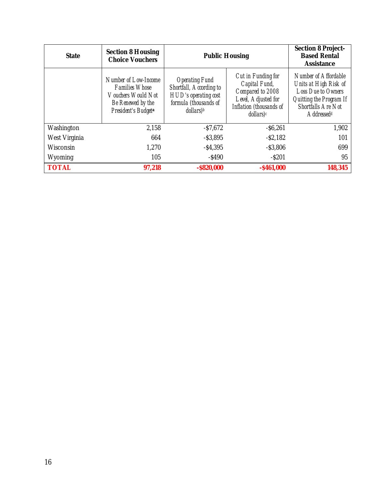| <b>State</b>  | <b>Section 8 Housing</b><br><b>Choice Vouchers</b>                                                              | <b>Public Housing</b>                                                                                                      |                                                                                                                        | <b>Section 8 Project-</b><br><b>Based Rental</b><br><b>Assistance</b>                                                                          |
|---------------|-----------------------------------------------------------------------------------------------------------------|----------------------------------------------------------------------------------------------------------------------------|------------------------------------------------------------------------------------------------------------------------|------------------------------------------------------------------------------------------------------------------------------------------------|
|               | Number of Low-Income<br><i>Families Whose</i><br>Vouchers Would Not<br>Be Renewed by the<br>President's Budgeta | <b>Operating Fund</b><br>Shortfall, According to<br>HUD's operating cost<br>formula (thousands of<br>dollars) <sub>b</sub> | Cut in Funding for<br>Capital Fund,<br>Compared to 2008<br>Level, Adjusted for<br>Inflation (thousands of<br>dollars)c | Number of Affordable<br>Units at High Risk of<br>Loss Due to Owners<br>Quitting the Program If<br>Shortfalls Are Not<br>Addressed <sup>d</sup> |
| Washington    | 2,158                                                                                                           | $-$ \$7,672                                                                                                                | $-$ \$6,261                                                                                                            | 1,902                                                                                                                                          |
| West Virginia | 664                                                                                                             | $-$ \$3,895                                                                                                                | $-$ \$2,182                                                                                                            | 101                                                                                                                                            |
| Wisconsin     | 1,270                                                                                                           | $-$ \$4,395                                                                                                                | $-$ \$3,806                                                                                                            | 699                                                                                                                                            |
| Wyoming       | 105                                                                                                             | $-$ \$490                                                                                                                  | $-$ S201                                                                                                               | 95                                                                                                                                             |
| <b>TOTAL</b>  | 97,218                                                                                                          | $-$ \$820,000                                                                                                              | $-$ \$461,000                                                                                                          | 148,345                                                                                                                                        |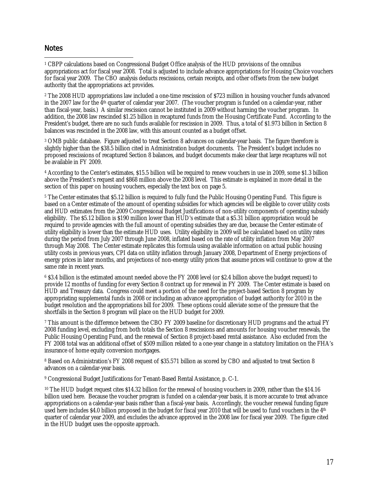## **Notes**

 $\overline{a}$ <sup>1</sup> CBPP calculations based on Congressional Budget Office analysis of the HUD provisions of the omnibus appropriations act for fiscal year 2008. Total is adjusted to include advance appropriations for Housing Choice vouchers for fiscal year 2009. The CBO analysis deducts rescissions, certain receipts, and other offsets from the new budget authority that the appropriations act provides.

2 The 2008 HUD appropriations law included a one-time rescission of \$723 million in housing voucher funds advanced in the 2007 law for the 4th quarter of calendar year 2007. (The voucher program is funded on a calendar-year, rather than fiscal-year, basis.) A similar rescission cannot be instituted in 2009 without harming the voucher program. In addition, the 2008 law rescinded \$1.25 billion in recaptured funds from the Housing Certificate Fund. According to the President's budget, there are no such funds available for rescission in 2009. Thus, a total of \$1.973 billion in Section 8 balances was rescinded in the 2008 law, with this amount counted as a budget offset.

3 OMB public database. Figure adjusted to treat Section 8 advances on calendar-year basis. The figure therefore is slightly higher than the \$38.5 billion cited in Administration budget documents. The President's budget includes no proposed rescissions of recaptured Section 8 balances, and budget documents make clear that large recaptures will not be available in FY 2009.

4 According to the Center's estimates, \$15.5 billion will be required to renew vouchers in use in 2009, some \$1.3 billion above the President's request and \$868 million above the 2008 level. This estimate is explained in more detail in the section of this paper on housing vouchers, especially the text box on page 5.

5 The Center estimates that \$5.12 billion is required to fully fund the Public Housing Operating Fund. This figure is based on a Center estimate of the amount of operating subsidies for which agencies will be eligible to cover utility costs and HUD estimates from the 2009 Congressional Budget Justifications of non-utility components of operating subsidy eligibility. The \$5.12 billion is \$190 million lower than HUD's estimate that a \$5.31 billion appropriation would be required to provide agencies with the full amount of operating subsidies they are due, because the Center estimate of utility eligibility is lower than the estimate HUD uses. Utility eligibility in 2009 will be calculated based on utility rates during the period from July 2007 through June 2008, inflated based on the rate of utility inflation from May 2007 through May 2008. The Center estimate replicates this formula using available information on actual public housing utility costs in previous years, CPI data on utility inflation through January 2008, Department of Energy projections of energy prices in later months, and projections of non-energy utility prices that assume prices will continue to grow at the same rate in recent years.

6 \$3.4 billion is the estimated amount needed above the FY 2008 level (or \$2.4 billion above the budget request) to provide 12 months of funding for every Section 8 contract up for renewal in FY 2009. The Center estimate is based on HUD and Treasury data. Congress could meet a portion of the need for the project-based Section 8 program by appropriating supplemental funds in 2008 or including an advance appropriation of budget authority for 2010 in the budget resolution and the appropriations bill for 2009. These options could alleviate some of the pressure that the shortfalls in the Section 8 program will place on the HUD budget for 2009.

7 This amount is the difference between the CBO FY 2009 baseline for discretionary HUD programs and the actual FY 2008 funding level, excluding from both totals the Section 8 rescissions and amounts for housing voucher renewals, the Public Housing Operating Fund, and the renewal of Section 8 project-based rental assistance. Also excluded from the FY 2008 total was an additional offset of \$509 million related to a one-year change in a statutory limitation on the FHA's insurance of home equity conversion mortgages.

8 Based on Administration's FY 2008 request of \$35.571 billion as scored by CBO and adjusted to treat Section 8 advances on a calendar-year basis.

9 Congressional Budget Justifications for Tenant-Based Rental Assistance, p. C-1.

10 The HUD budget request cites \$14.32 billion for the renewal of housing vouchers in 2009, rather than the \$14.16 billion used here. Because the voucher program is funded on a calendar-year basis, it is more accurate to treat advance appropriations on a calendar-year basis rather than a fiscal-year basis. Accordingly, the voucher renewal funding figure used here includes \$4.0 billion proposed in the budget for fiscal year 2010 that will be used to fund vouchers in the 4th quarter of calendar year 2009, and excludes the advance approved in the 2008 law for fiscal year 2009. The figure cited in the HUD budget uses the opposite approach.